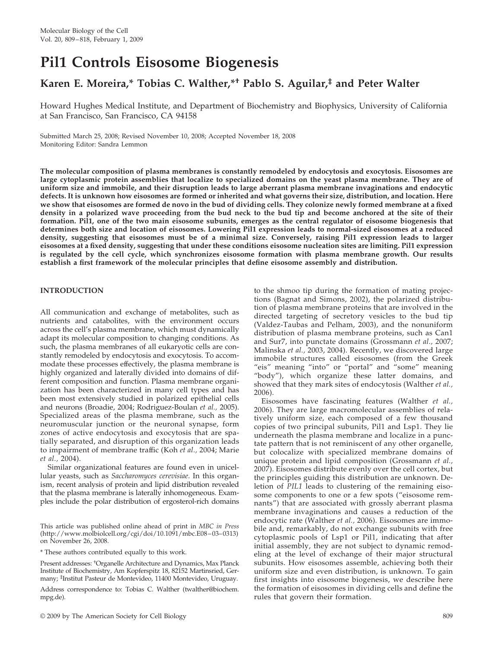# **Pil1 Controls Eisosome Biogenesis**

# **Karen E. Moreira,\* Tobias C. Walther,\*† Pablo S. Aguilar,‡ and Peter Walter**

Howard Hughes Medical Institute, and Department of Biochemistry and Biophysics, University of California at San Francisco, San Francisco, CA 94158

Submitted March 25, 2008; Revised November 10, 2008; Accepted November 18, 2008 Monitoring Editor: Sandra Lemmon

**The molecular composition of plasma membranes is constantly remodeled by endocytosis and exocytosis. Eisosomes are large cytoplasmic protein assemblies that localize to specialized domains on the yeast plasma membrane. They are of uniform size and immobile, and their disruption leads to large aberrant plasma membrane invaginations and endocytic defects. It is unknown how eisosomes are formed or inherited and what governs their size, distribution, and location. Here we show that eisosomes are formed de novo in the bud of dividing cells. They colonize newly formed membrane at a fixed density in a polarized wave proceeding from the bud neck to the bud tip and become anchored at the site of their formation. Pil1, one of the two main eisosome subunits, emerges as the central regulator of eisosome biogenesis that determines both size and location of eisosomes. Lowering Pil1 expression leads to normal-sized eisosomes at a reduced density, suggesting that eisosomes must be of a minimal size. Conversely, raising Pil1 expression leads to larger eisosomes at a fixed density, suggesting that under these conditions eisosome nucleation sites are limiting. Pil1 expression is regulated by the cell cycle, which synchronizes eisosome formation with plasma membrane growth. Our results establish a first framework of the molecular principles that define eisosome assembly and distribution.**

# **INTRODUCTION**

All communication and exchange of metabolites, such as nutrients and catabolites, with the environment occurs across the cell's plasma membrane, which must dynamically adapt its molecular composition to changing conditions. As such, the plasma membranes of all eukaryotic cells are constantly remodeled by endocytosis and exocytosis. To accommodate these processes effectively, the plasma membrane is highly organized and laterally divided into domains of different composition and function. Plasma membrane organization has been characterized in many cell types and has been most extensively studied in polarized epithelial cells and neurons (Broadie, 2004; Rodriguez-Boulan *et al.,* 2005). Specialized areas of the plasma membrane, such as the neuromuscular junction or the neuronal synapse, form zones of active endocytosis and exocytosis that are spatially separated, and disruption of this organization leads to impairment of membrane traffic (Koh *et al.,* 2004; Marie *et al.,* 2004).

Similar organizational features are found even in unicellular yeasts, such as *Saccharomyces cerevisiae*. In this organism, recent analysis of protein and lipid distribution revealed that the plasma membrane is laterally inhomogeneous. Examples include the polar distribution of ergosterol-rich domains

This article was published online ahead of print in *MBC in Press* (http://www.molbiolcell.org/cgi/doi/10.1091/mbc.E08–03–0313) on November 26, 2008.

\* These authors contributed equally to this work.

Present addresses: † Organelle Architecture and Dynamics, Max Planck Institute of Biochemistry, Am Kopferspitz 18, 82152 Martinsried, Germany; ‡ Institut Pasteur de Montevideo, 11400 Montevideo, Uruguay.

Address correspondence to: Tobias C. Walther (twalther@biochem. mpg.de).

to the shmoo tip during the formation of mating projections (Bagnat and Simons, 2002), the polarized distribution of plasma membrane proteins that are involved in the directed targeting of secretory vesicles to the bud tip (Valdez-Taubas and Pelham, 2003), and the nonuniform distribution of plasma membrane proteins, such as Can1 and Sur7, into punctate domains (Grossmann *et al.,* 2007; Malinska *et al.,* 2003, 2004). Recently, we discovered large immobile structures called eisosomes (from the Greek "eis" meaning "into" or "portal" and "some" meaning "body"), which organize these latter domains, and showed that they mark sites of endocytosis (Walther *et al.,* 2006).

Eisosomes have fascinating features (Walther *et al.,* 2006). They are large macromolecular assemblies of relatively uniform size, each composed of a few thousand copies of two principal subunits, Pil1 and Lsp1. They lie underneath the plasma membrane and localize in a punctate pattern that is not reminiscent of any other organelle, but colocalize with specialized membrane domains of unique protein and lipid composition (Grossmann *et al.,* 2007). Eisosomes distribute evenly over the cell cortex, but the principles guiding this distribution are unknown. Deletion of *PIL1* leads to clustering of the remaining eisosome components to one or a few spots ("eisosome remnants") that are associated with grossly aberrant plasma membrane invaginations and causes a reduction of the endocytic rate (Walther *et al.,* 2006). Eisosomes are immobile and, remarkably, do not exchange subunits with free cytoplasmic pools of Lsp1 or Pil1, indicating that after initial assembly, they are not subject to dynamic remodeling at the level of exchange of their major structural subunits. How eisosomes assemble, achieving both their uniform size and even distribution, is unknown. To gain first insights into eisosome biogenesis, we describe here the formation of eisosomes in dividing cells and define the rules that govern their formation.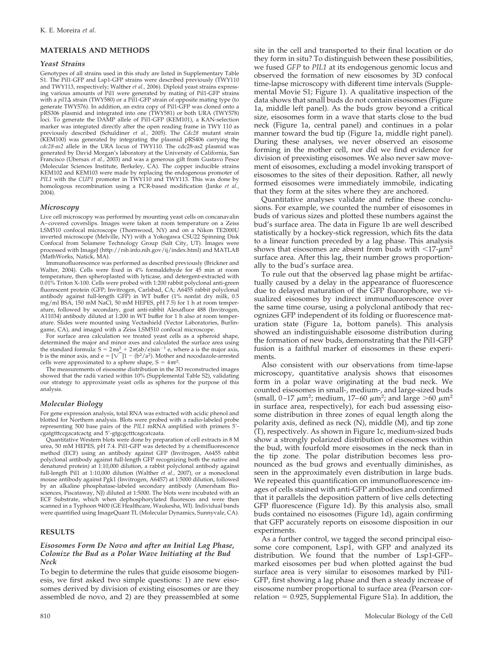# **MATERIALS AND METHODS**

### *Yeast Strains*

Genotypes of all strains used in this study are listed in Supplementary Table S1. The Pil1-GFP and Lsp1-GFP strains were described previously (TWY110 and TWY113, respectively; Walther *et al.,* 2006). Diploid yeast strains expressing various amounts of Pil1 were generated by mating of Pil1-GFP strains with a *pil1* strain (TWY580) or a Pil1-GFP strain of opposite mating type (to generate TWY576). In addition, an extra copy of Pil1-GFP was cloned onto a pRS306 plasmid and integrated into one (TWY581) or both URA (TWY578) loci. To generate the DAMP allele of Pil1-GFP (KEM101), a KAN-selection marker was integrated directly after the open reading frame in TWY 110 as previously described (Schuldiner *et al.,* 2005). The *Cdc28* mutant strain (KEM100) was generated by integrating the plasmid pRS406 carrying the *cdc28-as2* allele in the URA locus of TWY110. The cdc28-as2 plasmid was generated by David Morgan's laboratory at the University of California, San Francisco (Ubersax *et al.,* 2003) and was a generous gift from Gustavo Pesce (Molecular Sciences Institute, Berkeley, CA). The copper inducible strains KEM102 and KEM103 were made by replacing the endogenous promoter of *PIL1* with the *CUP1* promoter in TWY110 and TWY113. This was done by homologous recombination using a PCR-based modification (Janke *et al.,* 2004).

# *Microscopy*

Live cell microscopy was performed by mounting yeast cells on concanavalin A–covered coverslips. Images were taken at room temperature on a Zeiss LSM510 confocal microscope (Thornwood, NY) and on a Nikon TE2000U inverted microscope (Melville, NY) with a Yokogawa CSU22 Spinning Disk Confocal from Solamere Technology Group (Salt City, UT). Images were processed with ImageJ (http://rsb.info.nih.gov/ij/index.html) and MATLAB (MathWorks, Natick, MA).

Immunofluorescence was performed as described previously (Brickner and Walter, 2004). Cells were fixed in 4% formaldehyde for 45 min at room temperature, then spheroplasted with lyticase, and detergent-extracted with 0.01% Triton X-100. Cells were probed with 1:200 rabbit polyclonal anti-green fluorescent protein (GFP; Invitrogen, Carlsbad, CA; A6455 rabbit polyclonal antibody against full-length GFP) in WT buffer (1% nonfat dry milk, 0.5 mg/ml BSA, 150 mM NaCl, 50 mM HEPES, pH 7.5) for 1 h at room temperature, followed by secondary, goat anti-rabbit Alexafluor 488 (Invitrogen, A11034) antibody diluted at 1:200 in WT buffer for 1 h also at room temperature. Slides were mounted using Vectashield (Vector Laboratories, Burlingame, CA), and imaged with a Zeiss LSM510 confocal microscope.

For surface area calculation we treated yeast cells as a spheroid shape, determined the major and minor axes and calculated the surface area using the standard formula:  $S = 2\pi a^2 + 2\pi (ab/e) \sin^{-1} e$ , where a is the major axis, b is the minor axis, and  $e = [\sqrt{\frac{1 - (b^2/a^2)}{1 - (b^2/a^2)}}]$ . Mother and nocodazole-arrested cells were approximated to a sphere shape,  $S = 4\pi r^2$ 

lls were approximated to a sphere shape, S =  $4\pi r^2$ .<br>The measurements of eisosome distribution in the 3D reconstructed images showed that the radii varied within 10% (Supplemental Table S2), validating our strategy to approximate yeast cells as spheres for the purpose of this analysis.

#### *Molecular Biology*

For gene expression analysis, total RNA was extracted with acidic phenol and blotted for Northern analysis. Blots were probed with a radio-labeled probe representing 500 base pairs of the *PIL1* mRNA amplified with primers 5 cgatgtttccgacatcactg and 5-gtgcgctttcagcatcaata.

Quantitative Western blots were done by preparation of cell extracts in 8 M urea, 50 mM HEPES, pH 7.4. Pil1-GFP was detected by a chemifluorescence method (ECF) using an antibody against GFP (Invitrogen, A6455 rabbit polyclonal antibody against full-length GFP recognizing both the native and denatured protein) at 1:10,000 dilution, a rabbit polyclonal antibody against full-length Pil1 at 1:10,000 dilution (Walther *et al.,* 2007), or a monoclonal mouse antibody against Pgk1 (Invitrogen, A6457) at 1:5000 dilution, followed by an alkaline phosphatase-labeled secondary antibody (Amersham Biosciences, Piscataway, NJ) diluted at 1:5000. The blots were incubated with an ECF Substrate, which when dephosphorylated fluoresces and were then scanned in a Typhoon 9400 (GE Healthcare, Waukesha, WI). Individual bands were quantified using ImageQuant TL (Molecular Dynamics, Sunnyvale, CA).

### **RESULTS**

## *Eisosomes Form De Novo and after an Initial Lag Phase, Colonize the Bud as a Polar Wave Initiating at the Bud Neck*

To begin to determine the rules that guide eisosome biogenesis, we first asked two simple questions: 1) are new eisosomes derived by division of existing eisosomes or are they assembled de novo, and 2) are they preassembled at some site in the cell and transported to their final location or do they form in situ? To distinguish between these possibilities, we fused *GFP* to *PIL1* at its endogenous genomic locus and observed the formation of new eisosomes by 3D confocal time-lapse microscopy with different time intervals (Supplemental Movie S1; Figure 1). A qualitative inspection of the data shows that small buds do not contain eisosomes (Figure 1a, middle left panel). As the buds grow beyond a critical size, eisosomes form in a wave that starts close to the bud neck (Figure 1a, central panel) and continues in a polar manner toward the bud tip (Figure 1a, middle right panel). During these analyses, we never observed an eisosome forming in the mother cell, nor did we find evidence for division of preexisting eisosomes. We also never saw movement of eisosomes, excluding a model invoking transport of eisosomes to the sites of their deposition. Rather, all newly formed eisosomes were immediately immobile, indicating that they form at the sites where they are anchored.

Quantitative analyses validate and refine these conclusions. For example, we counted the number of eisosomes in buds of various sizes and plotted these numbers against the bud's surface area. The data in Figure 1b are well described statistically by a hockey-stick regression, which fits the data to a linear function preceded by a lag phase. This analysis shows that eisosomes are absent from buds with  $\langle 17-\mu m^2 \rangle$ surface area. After this lag, their number grows proportionally to the bud's surface area.

To rule out that the observed lag phase might be artifactually caused by a delay in the appearance of fluorescence due to delayed maturation of the GFP fluorophore, we visualized eisosomes by indirect immunofluorescence over the same time course, using a polyclonal antibody that recognizes GFP independent of its folding or fluorescence maturation state (Figure 1a, bottom panels). This analysis showed an indistinguishable eisosome distribution during the formation of new buds, demonstrating that the Pil1-GFP fusion is a faithful marker of eisosomes in these experiments.

Also consistent with our observations from time-lapse microscopy, quantitative analysis shows that eisosomes form in a polar wave originating at the bud neck. We counted eisosomes in small-, medium-, and large-sized buds (small,  $0-17 \mu m^2$ ; medium,  $17-60 \mu m^2$ ; and large  $>60 \mu m^2$ in surface area, respectively), for each bud assessing eisosome distribution in three zones of equal length along the polarity axis, defined as neck (N), middle (M), and tip zone (T), respectively. As shown in Figure 1c, medium-sized buds show a strongly polarized distribution of eisosomes within the bud, with fourfold more eisosomes in the neck than in the tip zone. The polar distribution becomes less pronounced as the bud grows and eventually diminishes, as seen in the approximately even distribution in large buds. We repeated this quantification on immunofluorescence images of cells stained with anti-GFP antibodies and confirmed that it parallels the deposition pattern of live cells detecting GFP fluorescence (Figure 1d). By this analysis also, small buds contained no eisosomes (Figure 1d), again confirming that GFP accurately reports on eisosome disposition in our experiments.

As a further control, we tagged the second principal eisosome core component, Lsp1, with GFP and analyzed its distribution. We found that the number of Lsp1-GFP– marked eisosomes per bud when plotted against the bud surface area is very similar to eisosomes marked by Pil1- GFP, first showing a lag phase and then a steady increase of eisosome number proportional to surface area (Pearson correlation = 0.925, Supplemental Figure S1a). In addition, the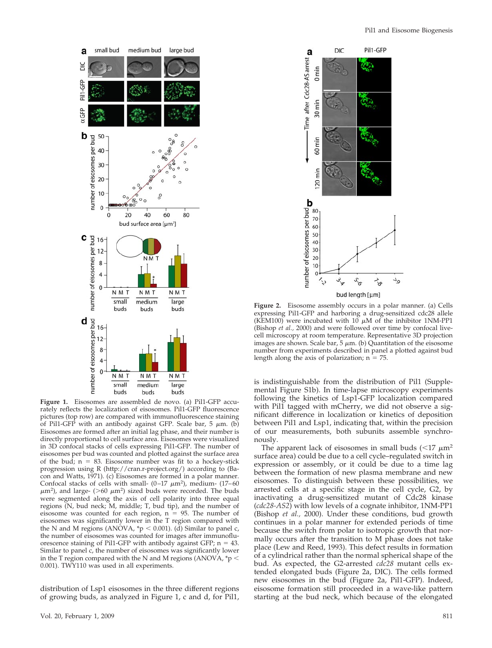

**Figure 1.** Eisosomes are assembled de novo. (a) Pil1-GFP accurately reflects the localization of eisosomes. Pil1-GFP fluorescence pictures (top row) are compared with immunofluorescence staining of Pil1-GFP with an antibody against GFP. Scale bar, 5  $\mu$ m. (b) Eisosomes are formed after an initial lag phase, and their number is directly proportional to cell surface area. Eisosomes were visualized in 3D confocal stacks of cells expressing Pil1-GFP. The number of eisosomes per bud was counted and plotted against the surface area of the bud;  $n = 83$ . Eisosome number was fit to a hockey-stick progression using R (http://cran.r-project.org/) according to (Bacon and Watts, 1971). (c) Eisosomes are formed in a polar manner. Confocal stacks of cells with small-  $(0-17 \ \mu m^2)$ , medium-  $(17-60 \ \mu m^2)$  $\mu$ m<sup>2</sup>), and large- (>60  $\mu$ m<sup>2</sup>) sized buds were recorded. The buds were segmented along the axis of cell polarity into three equal regions (N, bud neck; M, middle; T, bud tip), and the number of eisosome was counted for each region,  $n = 95$ . The number of eisosomes was significantly lower in the T region compared with the N and M regions (ANOVA,  $\sp{\ast}p$  < 0.001). (d) Similar to panel c, the number of eisosomes was counted for images after immunofluorescence staining of Pil1-GFP with antibody against GFP;  $n = 43$ . Similar to panel c, the number of eisosomes was significantly lower in the T region compared with the N and M regions (ANOVA,  $p <$ 0.001). TWY110 was used in all experiments.

distribution of Lsp1 eisosomes in the three different regions of growing buds, as analyzed in Figure 1, c and d, for Pil1,



**Figure 2.** Eisosome assembly occurs in a polar manner. (a) Cells expressing Pil1-GFP and harboring a drug-sensitized cdc28 allele (KEM100) were incubated with 10  $\mu$ M of the inhibitor 1NM-PP1 (Bishop *et al.,* 2000) and were followed over time by confocal livecell microscopy at room temperature. Representative 3D projection images are shown. Scale bar, 5  $\mu$ m. (b) Quantitation of the eisosome number from experiments described in panel a plotted against bud length along the axis of polarization;  $n = 75$ .

is indistinguishable from the distribution of Pil1 (Supplemental Figure S1b). In time-lapse microscopy experiments following the kinetics of Lsp1-GFP localization compared with Pil1 tagged with mCherry, we did not observe a significant difference in localization or kinetics of deposition between Pil1 and Lsp1, indicating that, within the precision of our measurements, both subunits assemble synchronously.

The apparent lack of eisosomes in small buds  $(<17 \mu m<sup>2</sup>)$ surface area) could be due to a cell cycle–regulated switch in expression or assembly, or it could be due to a time lag between the formation of new plasma membrane and new eisosomes. To distinguish between these possibilities, we arrested cells at a specific stage in the cell cycle, G2, by inactivating a drug-sensitized mutant of Cdc28 kinase (*cdc28-AS2*) with low levels of a cognate inhibitor, 1NM-PP1 (Bishop *et al.,* 2000). Under these conditions, bud growth continues in a polar manner for extended periods of time because the switch from polar to isotropic growth that normally occurs after the transition to M phase does not take place (Lew and Reed, 1993). This defect results in formation of a cylindrical rather than the normal spherical shape of the bud. As expected, the G2-arrested *cdc28* mutant cells extended elongated buds (Figure 2a, DIC). The cells formed new eisosomes in the bud (Figure 2a, Pil1-GFP). Indeed, eisosome formation still proceeded in a wave-like pattern starting at the bud neck, which because of the elongated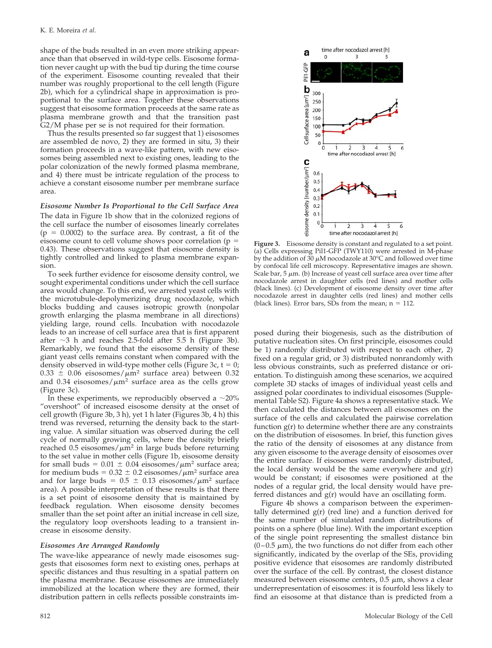shape of the buds resulted in an even more striking appearance than that observed in wild-type cells. Eisosome formation never caught up with the bud tip during the time course of the experiment. Eisosome counting revealed that their number was roughly proportional to the cell length (Figure 2b), which for a cylindrical shape in approximation is proportional to the surface area. Together these observations suggest that eisosome formation proceeds at the same rate as plasma membrane growth and that the transition past G2/M phase per se is not required for their formation.

Thus the results presented so far suggest that 1) eisosomes are assembled de novo, 2) they are formed in situ, 3) their formation proceeds in a wave-like pattern, with new eisosomes being assembled next to existing ones, leading to the polar colonization of the newly formed plasma membrane, and 4) there must be intricate regulation of the process to achieve a constant eisosome number per membrane surface area.

# *Eisosome Number Is Proportional to the Cell Surface Area* The data in Figure 1b show that in the colonized regions of

the cell surface the number of eisosomes linearly correlates  $(p = 0.0002)$  to the surface area. By contrast, a fit of the eisosome count to cell volume shows poor correlation ( $p =$ 0.43). These observations suggest that eisosome density is tightly controlled and linked to plasma membrane expansion.

To seek further evidence for eisosome density control, we sought experimental conditions under which the cell surface area would change. To this end, we arrested yeast cells with the microtubule-depolymerizing drug nocodazole, which blocks budding and causes isotropic growth (nonpolar growth enlarging the plasma membrane in all directions) yielding large, round cells. Incubation with nocodazole leads to an increase of cell surface area that is first apparent after  $\sim$ 3 h and reaches 2.5-fold after 5.5 h (Figure 3b). Remarkably, we found that the eisosome density of these giant yeast cells remains constant when compared with the density observed in wild-type mother cells (Figure 3c,  $t = 0$ ;  $0.33 \pm 0.06$  eisosomes/ $\mu$ m<sup>2</sup> surface area) between 0.32 and 0.34 eisosomes/ $\mu$ m<sup>2</sup> surface area as the cells grow (Figure 3c).

In these experiments, we reproducibly observed a  $\sim$ 20% "overshoot" of increased eisosome density at the onset of cell growth (Figure 3b, 3 h), yet 1 h later (Figures 3b, 4 h) this trend was reversed, returning the density back to the starting value. A similar situation was observed during the cell cycle of normally growing cells, where the density briefly reached  $0.5$  eisosomes/ $\mu$ m<sup>2</sup> in large buds before returning to the set value in mother cells (Figure 1b, eisosome density for small buds =  $0.01 \pm 0.04$  eisosomes/ $\mu$ m<sup>2</sup> surface area; for medium buds =  $0.32 \pm 0.2$  eisosomes/ $\mu$ m<sup>2</sup> surface area and for large buds =  $0.5 \pm 0.13$  eisosomes/ $\mu$ m<sup>2</sup> surface area). A possible interpretation of these results is that there is a set point of eisosome density that is maintained by feedback regulation. When eisosome density becomes smaller than the set point after an initial increase in cell size, the regulatory loop overshoots leading to a transient increase in eisosome density.

#### *Eisosomes Are Arranged Randomly*

The wave-like appearance of newly made eisosomes suggests that eisosomes form next to existing ones, perhaps at specific distances and thus resulting in a spatial pattern on the plasma membrane. Because eisosomes are immediately immobilized at the location where they are formed, their distribution pattern in cells reflects possible constraints im-



**Figure 3.** Eisosome density is constant and regulated to a set point. (a) Cells expressing Pil1-GFP (TWY110) were arrested in M-phase by the addition of 30  $\mu$ M nocodazole at 30°C and followed over time by confocal life cell microscopy. Representative images are shown. Scale bar, 5  $\mu$ m. (b) Increase of yeast cell surface area over time after nocodazole arrest in daughter cells (red lines) and mother cells (black lines). (c) Development of eisosome density over time after nocodazole arrest in daughter cells (red lines) and mother cells (black lines). Error bars, SDs from the mean;  $n = 112$ .

posed during their biogenesis, such as the distribution of putative nucleation sites. On first principle, eisosomes could be 1) randomly distributed with respect to each other, 2) fixed on a regular grid, or 3) distributed nonrandomly with less obvious constraints, such as preferred distance or orientation. To distinguish among these scenarios, we acquired complete 3D stacks of images of individual yeast cells and assigned polar coordinates to individual eisosomes (Supplemental Table S2). Figure 4a shows a representative stack. We then calculated the distances between all eisosomes on the surface of the cells and calculated the pairwise correlation function g(r) to determine whether there are any constraints on the distribution of eisosomes. In brief, this function gives the ratio of the density of eisosomes at any distance from any given eisosome to the average density of eisosomes over the entire surface. If eisosomes were randomly distributed, the local density would be the same everywhere and  $g(r)$ would be constant; if eisosomes were positioned at the nodes of a regular grid, the local density would have preferred distances and g(r) would have an oscillating form.

Figure 4b shows a comparison between the experimentally determined  $g(r)$  (red line) and a function derived for the same number of simulated random distributions of points on a sphere (blue line). With the important exception of the single point representing the smallest distance bin  $(0-0.5 \mu m)$ , the two functions do not differ from each other significantly, indicated by the overlap of the SEs, providing positive evidence that eisosomes are randomly distributed over the surface of the cell. By contrast, the closest distance measured between eisosome centers,  $0.5\; \mu \mathrm{m}$ , shows a clear underrepresentation of eisosomes: it is fourfold less likely to find an eisosome at that distance than is predicted from a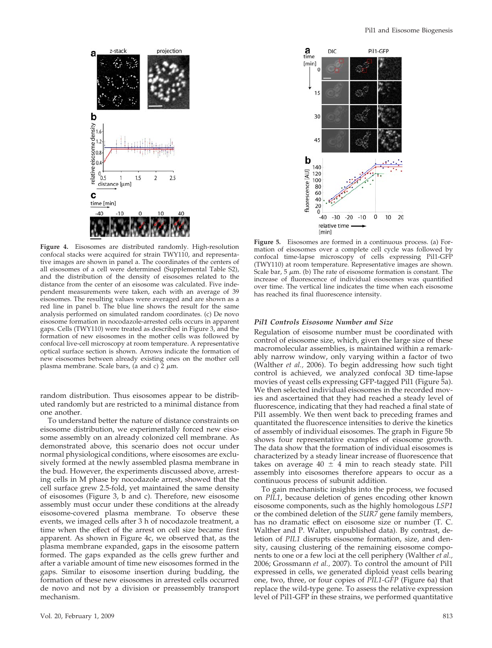

**Figure 4.** Eisosomes are distributed randomly. High-resolution confocal stacks were acquired for strain TWY110, and representative images are shown in panel a. The coordinates of the centers of all eisosomes of a cell were determined (Supplemental Table S2), and the distribution of the density of eisosomes related to the distance from the center of an eisosome was calculated. Five independent measurements were taken, each with an average of 39 eisosomes. The resulting values were averaged and are shown as a red line in panel b. The blue line shows the result for the same analysis performed on simulated random coordinates. (c) De novo eisosome formation in nocodazole-arrested cells occurs in apparent gaps. Cells (TWY110) were treated as described in Figure 3, and the formation of new eisosomes in the mother cells was followed by confocal live-cell microscopy at room temperature. A representative optical surface section is shown. Arrows indicate the formation of new eisosomes between already existing ones on the mother cell plasma membrane. Scale bars, (a and c) 2  $\mu$ m.

random distribution. Thus eisosomes appear to be distributed randomly but are restricted to a minimal distance from one another.

To understand better the nature of distance constraints on eisosome distribution, we experimentally forced new eisosome assembly on an already colonized cell membrane. As demonstrated above, this scenario does not occur under normal physiological conditions, where eisosomes are exclusively formed at the newly assembled plasma membrane in the bud. However, the experiments discussed above, arresting cells in M phase by nocodazole arrest, showed that the cell surface grew 2.5-fold, yet maintained the same density of eisosomes (Figure 3, b and c). Therefore, new eisosome assembly must occur under these conditions at the already eisosome-covered plasma membrane. To observe these events, we imaged cells after 3 h of nocodazole treatment, a time when the effect of the arrest on cell size became first apparent. As shown in Figure 4c, we observed that, as the plasma membrane expanded, gaps in the eisosome pattern formed. The gaps expanded as the cells grew further and after a variable amount of time new eisosomes formed in the gaps. Similar to eisosome insertion during budding, the formation of these new eisosomes in arrested cells occurred de novo and not by a division or preassembly transport mechanism.



**Figure 5.** Eisosomes are formed in a continuous process. (a) Formation of eisosomes over a complete cell cycle was followed by confocal time-lapse microscopy of cells expressing Pil1-GFP (TWY110) at room temperature. Representative images are shown. Scale bar, 5  $\mu$ m. (b) The rate of eisosome formation is constant. The increase of fluorescence of individual eisosomes was quantified over time. The vertical line indicates the time when each eisosome has reached its final fluorescence intensity.

### *Pil1 Controls Eisosome Number and Size*

Regulation of eisosome number must be coordinated with control of eisosome size, which, given the large size of these macromolecular assemblies, is maintained within a remarkably narrow window, only varying within a factor of two (Walther *et al.,* 2006). To begin addressing how such tight control is achieved, we analyzed confocal 3D time-lapse movies of yeast cells expressing GFP-tagged Pil1 (Figure 5a). We then selected individual eisosomes in the recorded movies and ascertained that they had reached a steady level of fluorescence, indicating that they had reached a final state of Pil1 assembly. We then went back to preceding frames and quantitated the fluorescence intensities to derive the kinetics of assembly of individual eisosomes. The graph in Figure 5b shows four representative examples of eisosome growth. The data show that the formation of individual eisosomes is characterized by a steady linear increase of fluorescence that takes on average  $40 \pm 4$  min to reach steady state. Pil1 assembly into eisosomes therefore appears to occur as a continuous process of subunit addition.

To gain mechanistic insights into the process, we focused on *PIL1*, because deletion of genes encoding other known eisosome components, such as the highly homologous *LSP1* or the combined deletion of the *SUR7* gene family members, has no dramatic effect on eisosome size or number (T. C. Walther and P. Walter, unpublished data). By contrast, deletion of *PIL1* disrupts eisosome formation, size, and density, causing clustering of the remaining eisosome components to one or a few loci at the cell periphery (Walther *et al.,* 2006; Grossmann *et al.,* 2007). To control the amount of Pil1 expressed in cells, we generated diploid yeast cells bearing one, two, three, or four copies of *PIL1-GFP* (Figure 6a) that replace the wild-type gene. To assess the relative expression level of Pil1-GFP in these strains, we performed quantitative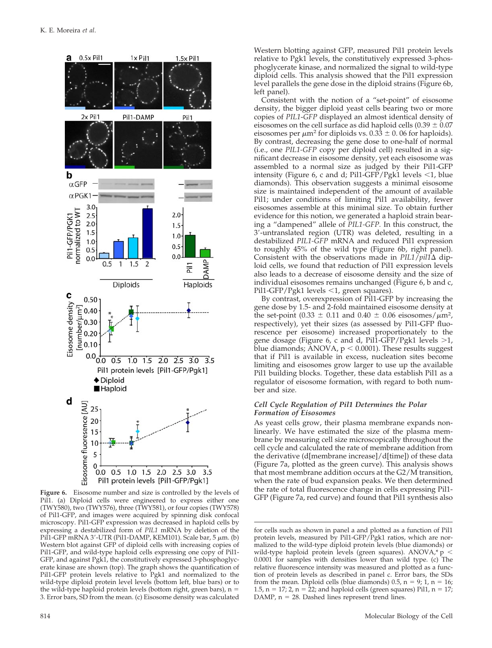

Pil1. (a) Diploid cells were engineered to express either one (TWY580), two (TWY576), three (TWY581), or four copies (TWY578) of Pil1-GFP, and images were acquired by spinning disk confocal microscopy. Pil1-GFP expression was decreased in haploid cells by expressing a destabilized form of *PIL1* mRNA by deletion of the Pil1-GFP mRNA 3'-UTR (Pil1-DAMP, KEM101). Scale bar, 5  $\mu$ m. (b) Western blot against GFP of diploid cells with increasing copies of Pil1-GFP, and wild-type haploid cells expressing one copy of Pil1- GFP, and against Pgk1, the constitutively expressed 3-phosphoglycerate kinase are shown (top). The graph shows the quantification of Pil1-GFP protein levels relative to Pgk1 and normalized to the wild-type diploid protein level levels (bottom left, blue bars) or to the wild-type haploid protein levels (bottom right, green bars),  $n =$ 3. Error bars, SD from the mean. (c) Eisosome density was calculated

Western blotting against GFP, measured Pil1 protein levels relative to Pgk1 levels, the constitutively expressed 3-phosphoglycerate kinase, and normalized the signal to wild-type diploid cells. This analysis showed that the Pil1 expression level parallels the gene dose in the diploid strains (Figure 6b, left panel).

Consistent with the notion of a "set-point" of eisosome density, the bigger diploid yeast cells bearing two or more copies of *PIL1*-*GFP* displayed an almost identical density of eisosomes on the cell surface as did haploid cells  $(0.39 \pm 0.07)$ eisosomes per  $\mu$ m<sup>2</sup> for diploids vs. 0.33  $\pm$  0.06 for haploids). By contrast, decreasing the gene dose to one-half of normal (i.e., one *PIL1-GFP* copy per diploid cell) resulted in a significant decrease in eisosome density, yet each eisosome was assembled to a normal size as judged by their Pil1-GFP intensity (Figure 6, c and d; Pil1-GFP/Pgk1 levels  $\leq 1$ , blue diamonds). This observation suggests a minimal eisosome size is maintained independent of the amount of available Pil1; under conditions of limiting Pil1 availability, fewer eisosomes assemble at this minimal size. To obtain further evidence for this notion, we generated a haploid strain bearing a "dampened" allele of *PIL1-GFP.* In this construct, the 3-untranslated region (UTR) was deleted, resulting in a destabilized *PIL1-GFP* mRNA and reduced Pil1 expression to roughly 45% of the wild type (Figure 6b, right panel). Consistent with the observations made in  $PIL1/piI1\Delta$  diploid cells, we found that reduction of Pil1 expression levels also leads to a decrease of eisosome density and the size of individual eisosomes remains unchanged (Figure 6, b and c, Pil1-GFP/Pgk1 levels <1, green squares).

By contrast, overexpression of Pil1-GFP by increasing the gene dose by 1.5- and 2-fold maintained eisosome density at the set-point (0.33  $\pm$  0.11 and 0.40  $\pm$  0.06 eisosomes/ $\mu$ m<sup>2</sup>, respectively), yet their sizes (as assessed by Pil1-GFP fluorescence per eisosome) increased proportionately to the gene dosage (Figure 6, c and d, Pill-GFP/Pgk1 levels  $>1$ , blue diamonds;  $\angle$  ANOVA,  $p < 0.0001$ ). These results suggest that if Pil1 is available in excess, nucleation sites become limiting and eisosomes grow larger to use up the available Pil1 building blocks. Together, these data establish Pil1 as a regulator of eisosome formation, with regard to both number and size.

# *Cell Cycle Regulation of Pil1 Determines the Polar Formation of Eisosomes*

As yeast cells grow, their plasma membrane expands nonlinearly. We have estimated the size of the plasma membrane by measuring cell size microscopically throughout the cell cycle and calculated the rate of membrane addition from the derivative (d[membrane increase]/d[time]) of these data (Figure 7a, plotted as the green curve). This analysis shows that most membrane addition occurs at the G2/M transition, when the rate of bud expansion peaks. We then determined the rate of total fluorescence change in cells expressing Pil1- Figure 6. Eisosome number and size is controlled by the levels of<br>Fil (a) Diploid cells were engineered to express either one GFP (Figure 7a, red curve) and found that Pil1 synthesis also

for cells such as shown in panel a and plotted as a function of Pil1 protein levels, measured by Pil1-GFP/Pgk1 ratios, which are normalized to the wild-type diploid protein levels (blue diamonds) or wild-type haploid protein levels (green squares). ANOVA,\* p < 0.0001 for samples with densities lower than wild type. (c) The relative fluorescence intensity was measured and plotted as a function of protein levels as described in panel c. Error bars, the SDs from the mean. Diploid cells (blue diamonds)  $0.5$ ,  $n = 9$ ;  $1$ ,  $n = 16$ ; 1.5,  $n = 17$ ; 2,  $n = 22$ ; and haploid cells (green squares) Pil1,  $n = 17$ ;  $DAMP$ ,  $n = 28$ . Dashed lines represent trend lines.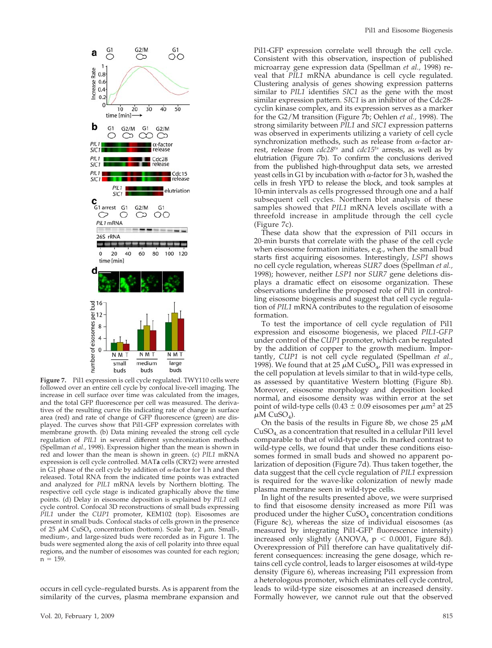

**Figure 7.** Pil1 expression is cell cycle regulated. TWY110 cells were followed over an entire cell cycle by confocal live-cell imaging. The increase in cell surface over time was calculated from the images, and the total GFP fluorescence per cell was measured. The derivatives of the resulting curve fits indicating rate of change in surface area (red) and rate of change of GFP fluorescence (green) are displayed. The curves show that Pil1-GFP expression correlates with membrane growth. (b) Data mining revealed the strong cell cycle regulation of *PIL1* in several different synchronization methods (Spellman *et al.,* 1998). Expression higher than the mean is shown in red and lower than the mean is shown in green. (c) *PIL1* mRNA expression is cell cycle controlled. MAT**a** cells (CRY2) were arrested in G1 phase of the cell cycle by addition of  $\alpha$ -factor for 1 h and then released. Total RNA from the indicated time points was extracted and analyzed for *PIL1* mRNA levels by Northern blotting. The respective cell cycle stage is indicated graphically above the time points. (d) Delay in eisosome deposition is explained by *PIL1* cell cycle control. Confocal 3D reconstructions of small buds expressing *PIL1* under the *CUP1* promoter, KEM102 (top). Eisosomes are present in small buds. Confocal stacks of cells grown in the presence of 25  $\mu$ M CuSO<sub>4</sub> concentration (bottom). Scale bar, 2  $\mu$ m. Small-, medium-, and large-sized buds were recorded as in Figure 1. The buds were segmented along the axis of cell polarity into three equal regions, and the number of eisosomes was counted for each region;  $n = 159$ .

occurs in cell cycle–regulated bursts. As is apparent from the similarity of the curves, plasma membrane expansion and Pil1-GFP expression correlate well through the cell cycle. Consistent with this observation, inspection of published microarray gene expression data (Spellman *et al.,* 1998) reveal that *PIL1* mRNA abundance is cell cycle regulated. Clustering analysis of genes showing expression patterns similar to *PIL1* identifies *SIC1* as the gene with the most similar expression pattern. *SIC1* is an inhibitor of the Cdc28 cyclin kinase complex, and its expression serves as a marker for the G2/M transition (Figure 7b; Oehlen *et al.,* 1998). The strong similarity between *PIL1* and *SIC1* expression patterns was observed in experiments utilizing a variety of cell cycle synchronization methods, such as release from  $\alpha$ -factor arrest, release from *cdc28ts* and *cdc15ts* arrests, as well as by elutriation (Figure 7b). To confirm the conclusions derived from the published high-throughput data sets, we arrested yeast cells in G1 by incubation with  $\alpha$ -factor for 3 h, washed the cells in fresh YPD to release the block, and took samples at 10-min intervals as cells progressed through one and a half subsequent cell cycles. Northern blot analysis of these samples showed that *PIL1* mRNA levels oscillate with a threefold increase in amplitude through the cell cycle (Figure 7c).

These data show that the expression of Pil1 occurs in 20-min bursts that correlate with the phase of the cell cycle when eisosome formation initiates, e.g., when the small bud starts first acquiring eisosomes. Interestingly, *LSP1* shows no cell cycle regulation, whereas *SUR7* does (Spellman *et al.,* 1998); however, neither *LSP1* nor *SUR7* gene deletions displays a dramatic effect on eisosome organization. These observations underline the proposed role of Pil1 in controlling eisosome biogenesis and suggest that cell cycle regulation of *PIL1* mRNA contributes to the regulation of eisosome formation.

To test the importance of cell cycle regulation of Pil1 expression and eisosome biogenesis, we placed *PIL1-GFP* under control of the *CUP1* promoter, which can be regulated by the addition of copper to the growth medium. Importantly, *CUP1* is not cell cycle regulated (Spellman *et al.,* 1998). We found that at 25  $\mu$ M CuSO<sub>4</sub>, Pil1 was expressed in the cell population at levels similar to that in wild-type cells, as assessed by quantitative Western blotting (Figure 8b). Moreover, eisosome morphology and deposition looked normal, and eisosome density was within error at the set point of wild-type cells (0.43  $\pm$  0.09 eisosomes per  $\mu$ m<sup>2</sup> at 25  $\mu$ M CuSO<sub>4</sub>).

On the basis of the results in Figure 8b, we chose 25  $\mu$ M  $CuSO<sub>4</sub>$  as a concentration that resulted in a cellular Pil1 level comparable to that of wild-type cells. In marked contrast to wild-type cells, we found that under these conditions eisosomes formed in small buds and showed no apparent polarization of deposition (Figure 7d). Thus taken together, the data suggest that the cell cycle regulation of *PIL1* expression is required for the wave-like colonization of newly made plasma membrane seen in wild-type cells.

In light of the results presented above, we were surprised to find that eisosome density increased as more Pil1 was produced under the higher  $CuSO<sub>4</sub>$  concentration conditions (Figure 8c), whereas the size of individual eisosomes (as measured by integrating Pil1-GFP fluorescence intensity) increased only slightly (ANOVA,  $p < 0.0001$ , Figure 8d). Overexpression of Pil1 therefore can have qualitatively different consequences: increasing the gene dosage, which retains cell cycle control, leads to larger eisosomes at wild-type density (Figure 6), whereas increasing Pil1 expression from a heterologous promoter, which eliminates cell cycle control, leads to wild-type size eisosomes at an increased density. Formally however, we cannot rule out that the observed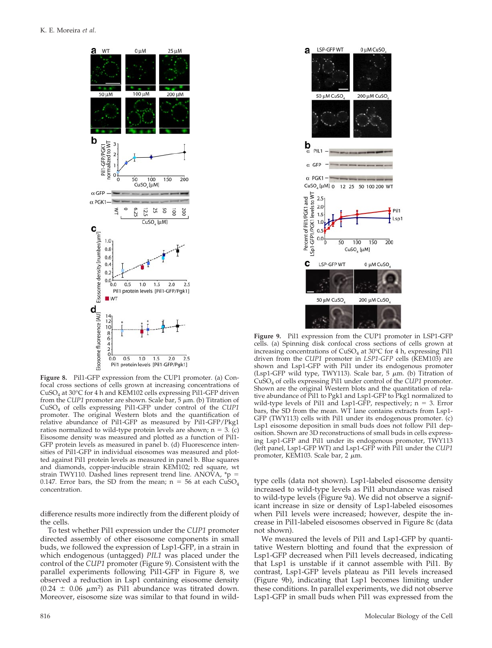

**Figure 8.** Pil1-GFP expression from the CUP1 promoter. (a) Confocal cross sections of cells grown at increasing concentrations of CuSO4 at 30°C for 4 h and KEM102 cells expressing Pil1-GFP driven from the CUP1 promoter are shown. Scale bar, 5  $\mu$ m. (b) Titration of CuSO4 of cells expressing Pil1-GFP under control of the *CUP1* promoter. The original Western blots and the quantification of relative abundance of Pil1-GFP as measured by Pil1-GFP/Pkg1 ratios normalized to wild-type protein levels are shown;  $n = 3$ . (c) Eisosome density was measured and plotted as a function of Pil1- GFP protein levels as measured in panel b. (d) Fluorescence intensities of Pil1-GFP in individual eisosomes was measured and plotted against Pil1 protein levels as measured in panel b. Blue squares and diamonds, copper-inducible strain KEM102; red square, wt strain TWY110. Dashed lines represent trend line. ANOVA,  ${}^*\mathsf{p}$  = 0.147. Error bars, the SD from the mean;  $n = 56$  at each  $CuSO<sub>4</sub>$ concentration.

difference results more indirectly from the different ploidy of the cells.

To test whether Pil1 expression under the *CUP1* promoter directed assembly of other eisosome components in small buds, we followed the expression of Lsp1-GFP, in a strain in which endogenous (untagged) *PIL1* was placed under the control of the *CUP1* promoter (Figure 9). Consistent with the parallel experiments following Pil1-GFP in Figure 8, we observed a reduction in Lsp1 containing eisosome density  $(0.24 \pm 0.06 \mu m^2)$  as Pil1 abundance was titrated down. Moreover, eisosome size was similar to that found in wild-



**Figure 9.** Pil1 expression from the CUP1 promoter in LSP1-GFP cells. (a) Spinning disk confocal cross sections of cells grown at increasing concentrations of  $CuSO<sub>4</sub>$  at 30°C for 4 h, expressing Pil1 driven from the *CUP1* promoter in *LSP1-GFP* cells (KEM103) are shown and Lsp1-GFP with Pil1 under its endogenous promoter (Lsp1-GFP wild type, TWY113). Scale bar, 5  $\mu$ m. (b) Titration of CuSO4 of cells expressing Pil1 under control of the *CUP1* promoter. Shown are the original Western blots and the quantitation of relative abundance of Pil1 to Pgk1 and Lsp1-GFP to Pkg1 normalized to wild-type levels of Pil1 and Lsp1-GFP, respectively;  $n = 3$ . Error bars, the SD from the mean. WT lane contains extracts from Lsp1- GFP (TWY113) cells with Pil1 under its endogenous promoter. (c) Lsp1 eisosome deposition in small buds does not follow Pil1 deposition. Shown are 3D reconstructions of small buds in cells expressing Lsp1-GFP and Pil1 under its endogenous promoter, TWY113 (left panel, Lsp1-GFP WT) and Lsp1-GFP with Pil1 under the *CUP1* promoter, KEM103. Scale bar, 2  $\mu$ m.

type cells (data not shown). Lsp1-labeled eisosome density increased to wild-type levels as Pil1 abundance was raised to wild-type levels (Figure 9a). We did not observe a significant increase in size or density of Lsp1-labeled eisosomes when Pil1 levels were increased; however, despite the increase in Pil1-labeled eisosomes observed in Figure 8c (data not shown).

We measured the levels of Pil1 and Lsp1-GFP by quantitative Western blotting and found that the expression of Lsp1-GFP decreased when Pil1 levels decreased, indicating that Lsp1 is unstable if it cannot assemble with Pil1. By contrast, Lsp1-GFP levels plateau as Pil1 levels increased (Figure 9b), indicating that Lsp1 becomes limiting under these conditions. In parallel experiments, we did not observe Lsp1-GFP in small buds when Pil1 was expressed from the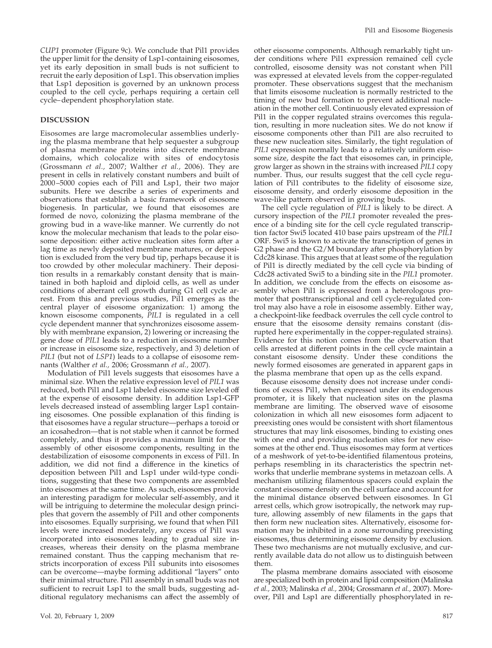*CUP1* promoter (Figure 9c). We conclude that Pil1 provides the upper limit for the density of Lsp1-containing eisosomes, yet its early deposition in small buds is not sufficient to recruit the early deposition of Lsp1. This observation implies that Lsp1 deposition is governed by an unknown process coupled to the cell cycle, perhaps requiring a certain cell cycle–dependent phosphorylation state.

# **DISCUSSION**

Eisosomes are large macromolecular assemblies underlying the plasma membrane that help sequester a subgroup of plasma membrane proteins into discrete membrane domains, which colocalize with sites of endocytosis (Grossmann *et al.,* 2007; Walther *et al.,* 2006). They are present in cells in relatively constant numbers and built of 2000–5000 copies each of Pil1 and Lsp1, their two major subunits. Here we describe a series of experiments and observations that establish a basic framework of eisosome biogenesis. In particular, we found that eisosomes are formed de novo, colonizing the plasma membrane of the growing bud in a wave-like manner. We currently do not know the molecular mechanism that leads to the polar eisosome deposition: either active nucleation sites form after a lag time as newly deposited membrane matures, or deposition is excluded from the very bud tip, perhaps because it is too crowded by other molecular machinery. Their deposition results in a remarkably constant density that is maintained in both haploid and diploid cells, as well as under conditions of aberrant cell growth during G1 cell cycle arrest. From this and previous studies, Pil1 emerges as the central player of eisosome organization: 1) among the known eisosome components, *PIL1* is regulated in a cell cycle dependent manner that synchronizes eisosome assembly with membrane expansion, 2) lowering or increasing the gene dose of *PIL1* leads to a reduction in eisosome number or increase in eisosome size, respectively, and 3) deletion of *PIL1* (but not of *LSP1*) leads to a collapse of eisosome remnants (Walther *et al.,* 2006; Grossmann *et al.,* 2007).

Modulation of Pil1 levels suggests that eisosomes have a minimal size. When the relative expression level of *PIL1* was reduced, both Pil1 and Lsp1 labeled eisosome size leveled off at the expense of eisosome density. In addition Lsp1-GFP levels decreased instead of assembling larger Lsp1 containing eisosomes. One possible explanation of this finding is that eisosomes have a regular structure—perhaps a toroid or an icosahedron—that is not stable when it cannot be formed completely, and thus it provides a maximum limit for the assembly of other eisosome components, resulting in the destabilization of eisosome components in excess of Pil1. In addition, we did not find a difference in the kinetics of deposition between Pil1 and Lsp1 under wild-type conditions, suggesting that these two components are assembled into eisosomes at the same time. As such, eisosomes provide an interesting paradigm for molecular self-assembly, and it will be intriguing to determine the molecular design principles that govern the assembly of Pil1 and other components into eisosomes. Equally surprising, we found that when Pil1 levels were increased moderately, any excess of Pil1 was incorporated into eisosomes leading to gradual size increases, whereas their density on the plasma membrane remained constant. Thus the capping mechanism that restricts incorporation of excess Pil<sub>1</sub> subunits into eisosomes can be overcome—maybe forming additional "layers" onto their minimal structure. Pil1 assembly in small buds was not sufficient to recruit Lsp1 to the small buds, suggesting additional regulatory mechanisms can affect the assembly of other eisosome components. Although remarkably tight under conditions where Pil1 expression remained cell cycle controlled, eisosome density was not constant when Pil1 was expressed at elevated levels from the copper-regulated promoter. These observations suggest that the mechanism that limits eisosome nucleation is normally restricted to the timing of new bud formation to prevent additional nucleation in the mother cell. Continuously elevated expression of Pil1 in the copper regulated strains overcomes this regulation, resulting in more nucleation sites. We do not know if eisosome components other than Pil1 are also recruited to these new nucleation sites. Similarly, the tight regulation of *PIL1* expression normally leads to a relatively uniform eisosome size, despite the fact that eisosomes can, in principle, grow larger as shown in the strains with increased *PIL1* copy number. Thus, our results suggest that the cell cycle regulation of Pil1 contributes to the fidelity of eisosome size, eisosome density, and orderly eisosome deposition in the wave-like pattern observed in growing buds.

The cell cycle regulation of *PIL1* is likely to be direct. A cursory inspection of the *PIL1* promoter revealed the presence of a binding site for the cell cycle regulated transcription factor Swi5 located 410 base pairs upstream of the *PIL1* ORF. Swi5 is known to activate the transcription of genes in G2 phase and the G2/M boundary after phosphorylation by Cdc28 kinase. This argues that at least some of the regulation of Pil1 is directly mediated by the cell cycle via binding of Cdc28 activated Swi5 to a binding site in the *PIL1* promoter. In addition, we conclude from the effects on eisosome assembly when Pil1 is expressed from a heterologous promoter that posttranscriptional and cell cycle-regulated control may also have a role in eisosome assembly. Either way, a checkpoint-like feedback overrules the cell cycle control to ensure that the eisosome density remains constant (disrupted here experimentally in the copper-regulated strains). Evidence for this notion comes from the observation that cells arrested at different points in the cell cycle maintain a constant eisosome density. Under these conditions the newly formed eisosomes are generated in apparent gaps in the plasma membrane that open up as the cells expand.

Because eisosome density does not increase under conditions of excess Pil1, when expressed under its endogenous promoter, it is likely that nucleation sites on the plasma membrane are limiting. The observed wave of eisosome colonization in which all new eisosomes form adjacent to preexisting ones would be consistent with short filamentous structures that may link eisosomes, binding to existing ones with one end and providing nucleation sites for new eisosomes at the other end. Thus eisosomes may form at vertices of a meshwork of yet-to-be-identified filamentous proteins, perhaps resembling in its characteristics the spectrin networks that underlie membrane systems in metazoan cells. A mechanism utilizing filamentous spacers could explain the constant eisosome density on the cell surface and account for the minimal distance observed between eisosomes. In G1 arrest cells, which grow isotropically, the network may rupture, allowing assembly of new filaments in the gaps that then form new nucleation sites. Alternatively, eisosome formation may be inhibited in a zone surrounding preexisting eisosomes, thus determining eisosome density by exclusion. These two mechanisms are not mutually exclusive, and currently available data do not allow us to distinguish between them.

The plasma membrane domains associated with eisosome are specialized both in protein and lipid composition (Malinska *et al.,* 2003; Malinska *et al.,* 2004; Grossmann *et al.,* 2007). Moreover, Pil1 and Lsp1 are differentially phosphorylated in re